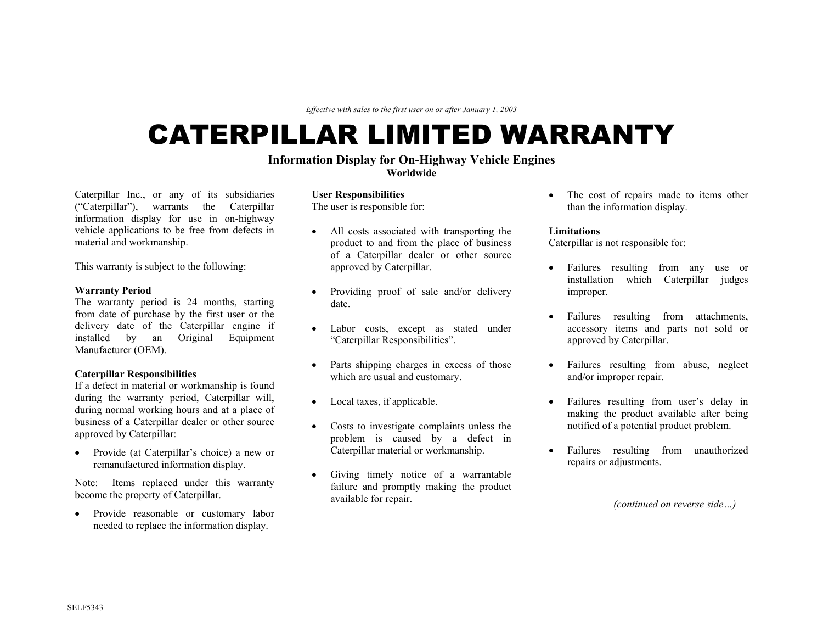*Effective with sales to the first user on or after January 1, 2003* 

# CATERPILLAR LIMITED WARRANTY

# **Information Display for On-Highway Vehicle Engines**

**Worldwide** 

Caterpillar Inc., or any of its subsidiaries **User Responsibilities**  ("Caterpillar"), warrants the Caterpillar information display for use in on-highway vehicle applications to be free from defects in material and workmanship.

The warranty period is 24 months, starting date. from date of purchase by the first user or the delivery date of the Caterpillar engine if installed by an Original Equipment Manufacturer (OEM).

during the warranty period, Caterpillar will, during normal working hours and at a place of business of a Caterpillar dealer or other source approved by Caterpillar:

• Provide (at Caterpillar's choice) a new or remanufactured information display.

Note: Items replaced under this warranty become the property of Caterpillar.

• Provide reasonable or customary labor needed to replace the information display.

The user is responsible for:

- All costs associated with transporting the **Limitations**  product to and from the place of business of a Caterpillar dealer or other source approved by Caterpillar. This warranty is subject to the following: **• Failures** resulting from any use or **Failures** resulting from any use or
- **Warranty Period •** Providing proof of sale and/or delivery improper.
	- Labor costs, except as stated under "Caterpillar Responsibilities".
- Parts shipping charges in excess of those which are usual and customary. **Caterpillar Responsibilities**<br> **Caterpillar Responsibilities** in abuse, neglect which are usual and customary.<br>
If a defect in material or workmanship is found with are usual and customary.<br>
If a defect in material or wor
	-
	- problem is caused by a defect in Caterpillar material or workmanship.
	- Giving timely notice of a warrantable failure and promptly making the product available for repair.

• The cost of repairs made to items other than the information display.

Caterpillar is not responsible for:

- installation which Caterpillar judges
- Failures resulting from attachments, accessory items and parts not sold or approved by Caterpillar.
- 
- Local taxes, if applicable. Failures resulting from user's delay in making the product available after being • Costs to investigate complaints unless the notified of a potential product problem.
	- Failures resulting from unauthorized repairs or adjustments.

*(continued on reverse side…)*